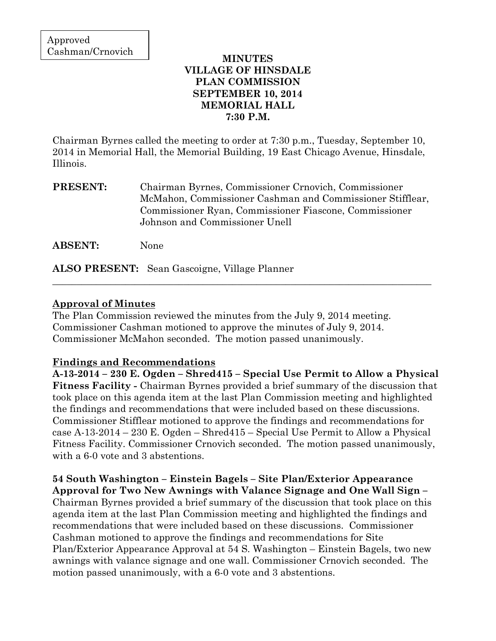### **MINUTES VILLAGE OF HINSDALE PLAN COMMISSION SEPTEMBER 10, 2014 MEMORIAL HALL 7:30 P.M.**

Chairman Byrnes called the meeting to order at 7:30 p.m., Tuesday, September 10, 2014 in Memorial Hall, the Memorial Building, 19 East Chicago Avenue, Hinsdale, Illinois.

**PRESENT:** Chairman Byrnes, Commissioner Crnovich, Commissioner McMahon, Commissioner Cashman and Commissioner Stifflear, Commissioner Ryan, Commissioner Fiascone, Commissioner Johnson and Commissioner Unell

\_\_\_\_\_\_\_\_\_\_\_\_\_\_\_\_\_\_\_\_\_\_\_\_\_\_\_\_\_\_\_\_\_\_\_\_\_\_\_\_\_\_\_\_\_\_\_\_\_\_\_\_\_\_\_\_\_\_\_\_\_\_\_\_\_\_\_\_\_\_\_\_\_\_\_\_\_\_

**ABSENT:** None

**ALSO PRESENT:** Sean Gascoigne, Village Planner

### **Approval of Minutes**

The Plan Commission reviewed the minutes from the July 9, 2014 meeting. Commissioner Cashman motioned to approve the minutes of July 9, 2014. Commissioner McMahon seconded. The motion passed unanimously.

## **Findings and Recommendations**

**A-13-2014 – 230 E. Ogden – Shred415 – Special Use Permit to Allow a Physical Fitness Facility -** Chairman Byrnes provided a brief summary of the discussion that took place on this agenda item at the last Plan Commission meeting and highlighted the findings and recommendations that were included based on these discussions. Commissioner Stifflear motioned to approve the findings and recommendations for case A-13-2014 – 230 E. Ogden – Shred415 – Special Use Permit to Allow a Physical Fitness Facility. Commissioner Crnovich seconded. The motion passed unanimously, with a 6-0 vote and 3 abstentions.

**54 South Washington – Einstein Bagels – Site Plan/Exterior Appearance Approval for Two New Awnings with Valance Signage and One Wall Sign –**  Chairman Byrnes provided a brief summary of the discussion that took place on this agenda item at the last Plan Commission meeting and highlighted the findings and recommendations that were included based on these discussions. Commissioner Cashman motioned to approve the findings and recommendations for Site Plan/Exterior Appearance Approval at 54 S. Washington – Einstein Bagels, two new awnings with valance signage and one wall. Commissioner Crnovich seconded. The motion passed unanimously, with a 6-0 vote and 3 abstentions.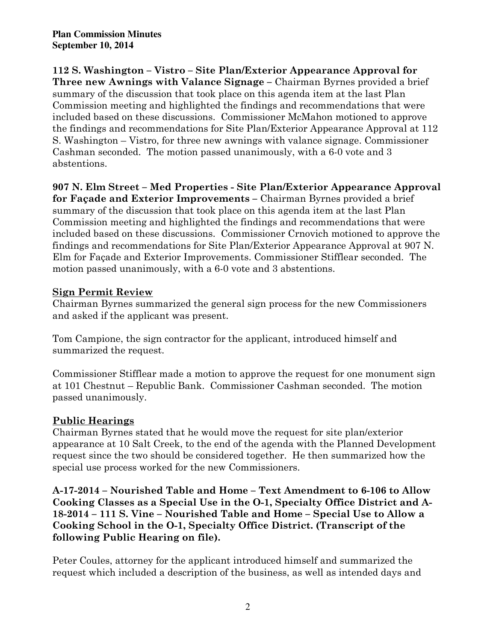**112 S. Washington – Vistro – Site Plan/Exterior Appearance Approval for Three new Awnings with Valance Signage –** Chairman Byrnes provided a brief summary of the discussion that took place on this agenda item at the last Plan Commission meeting and highlighted the findings and recommendations that were included based on these discussions. Commissioner McMahon motioned to approve the findings and recommendations for Site Plan/Exterior Appearance Approval at 112 S. Washington – Vistro, for three new awnings with valance signage. Commissioner Cashman seconded. The motion passed unanimously, with a 6-0 vote and 3 abstentions.

**907 N. Elm Street – Med Properties - Site Plan/Exterior Appearance Approval for Façade and Exterior Improvements –** Chairman Byrnes provided a brief summary of the discussion that took place on this agenda item at the last Plan Commission meeting and highlighted the findings and recommendations that were included based on these discussions. Commissioner Crnovich motioned to approve the findings and recommendations for Site Plan/Exterior Appearance Approval at 907 N. Elm for Façade and Exterior Improvements. Commissioner Stifflear seconded. The motion passed unanimously, with a 6-0 vote and 3 abstentions.

# **Sign Permit Review**

Chairman Byrnes summarized the general sign process for the new Commissioners and asked if the applicant was present.

Tom Campione, the sign contractor for the applicant, introduced himself and summarized the request.

Commissioner Stifflear made a motion to approve the request for one monument sign at 101 Chestnut – Republic Bank. Commissioner Cashman seconded. The motion passed unanimously.

# **Public Hearings**

Chairman Byrnes stated that he would move the request for site plan/exterior appearance at 10 Salt Creek, to the end of the agenda with the Planned Development request since the two should be considered together. He then summarized how the special use process worked for the new Commissioners.

**A-17-2014 – Nourished Table and Home – Text Amendment to 6-106 to Allow Cooking Classes as a Special Use in the O-1, Specialty Office District and A-18-2014 – 111 S. Vine – Nourished Table and Home – Special Use to Allow a Cooking School in the O-1, Specialty Office District. (Transcript of the following Public Hearing on file).**

Peter Coules, attorney for the applicant introduced himself and summarized the request which included a description of the business, as well as intended days and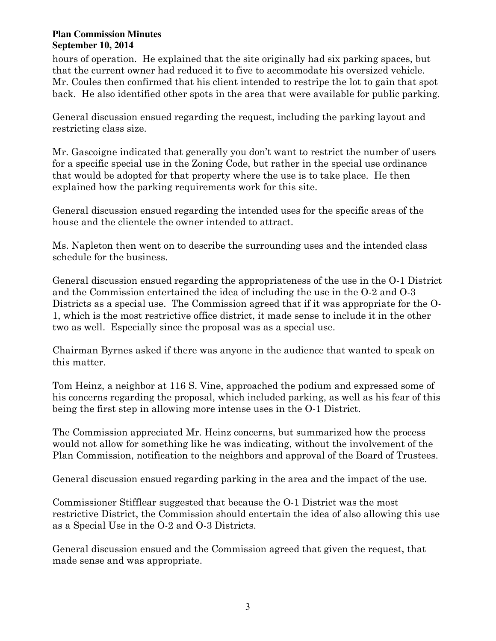hours of operation. He explained that the site originally had six parking spaces, but that the current owner had reduced it to five to accommodate his oversized vehicle. Mr. Coules then confirmed that his client intended to restripe the lot to gain that spot back. He also identified other spots in the area that were available for public parking.

General discussion ensued regarding the request, including the parking layout and restricting class size.

Mr. Gascoigne indicated that generally you don't want to restrict the number of users for a specific special use in the Zoning Code, but rather in the special use ordinance that would be adopted for that property where the use is to take place. He then explained how the parking requirements work for this site.

General discussion ensued regarding the intended uses for the specific areas of the house and the clientele the owner intended to attract.

Ms. Napleton then went on to describe the surrounding uses and the intended class schedule for the business.

General discussion ensued regarding the appropriateness of the use in the O-1 District and the Commission entertained the idea of including the use in the O-2 and O-3 Districts as a special use. The Commission agreed that if it was appropriate for the O-1, which is the most restrictive office district, it made sense to include it in the other two as well. Especially since the proposal was as a special use.

Chairman Byrnes asked if there was anyone in the audience that wanted to speak on this matter.

Tom Heinz, a neighbor at 116 S. Vine, approached the podium and expressed some of his concerns regarding the proposal, which included parking, as well as his fear of this being the first step in allowing more intense uses in the O-1 District.

The Commission appreciated Mr. Heinz concerns, but summarized how the process would not allow for something like he was indicating, without the involvement of the Plan Commission, notification to the neighbors and approval of the Board of Trustees.

General discussion ensued regarding parking in the area and the impact of the use.

Commissioner Stifflear suggested that because the O-1 District was the most restrictive District, the Commission should entertain the idea of also allowing this use as a Special Use in the O-2 and O-3 Districts.

General discussion ensued and the Commission agreed that given the request, that made sense and was appropriate.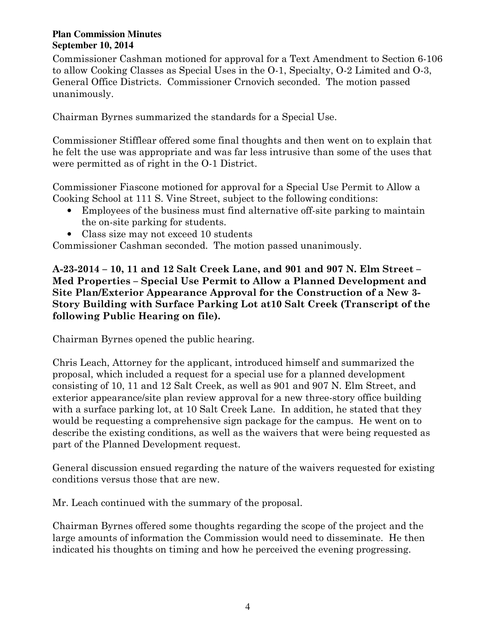Commissioner Cashman motioned for approval for a Text Amendment to Section 6-106 to allow Cooking Classes as Special Uses in the O-1, Specialty, O-2 Limited and O-3, General Office Districts. Commissioner Crnovich seconded. The motion passed unanimously.

Chairman Byrnes summarized the standards for a Special Use.

Commissioner Stifflear offered some final thoughts and then went on to explain that he felt the use was appropriate and was far less intrusive than some of the uses that were permitted as of right in the O-1 District.

Commissioner Fiascone motioned for approval for a Special Use Permit to Allow a Cooking School at 111 S. Vine Street, subject to the following conditions:

- Employees of the business must find alternative off-site parking to maintain the on-site parking for students.
- Class size may not exceed 10 students

Commissioner Cashman seconded. The motion passed unanimously.

**A-23-2014 – 10, 11 and 12 Salt Creek Lane, and 901 and 907 N. Elm Street – Med Properties – Special Use Permit to Allow a Planned Development and Site Plan/Exterior Appearance Approval for the Construction of a New 3- Story Building with Surface Parking Lot at10 Salt Creek (Transcript of the following Public Hearing on file).** 

Chairman Byrnes opened the public hearing.

Chris Leach, Attorney for the applicant, introduced himself and summarized the proposal, which included a request for a special use for a planned development consisting of 10, 11 and 12 Salt Creek, as well as 901 and 907 N. Elm Street, and exterior appearance/site plan review approval for a new three-story office building with a surface parking lot, at 10 Salt Creek Lane. In addition, he stated that they would be requesting a comprehensive sign package for the campus. He went on to describe the existing conditions, as well as the waivers that were being requested as part of the Planned Development request.

General discussion ensued regarding the nature of the waivers requested for existing conditions versus those that are new.

Mr. Leach continued with the summary of the proposal.

Chairman Byrnes offered some thoughts regarding the scope of the project and the large amounts of information the Commission would need to disseminate. He then indicated his thoughts on timing and how he perceived the evening progressing.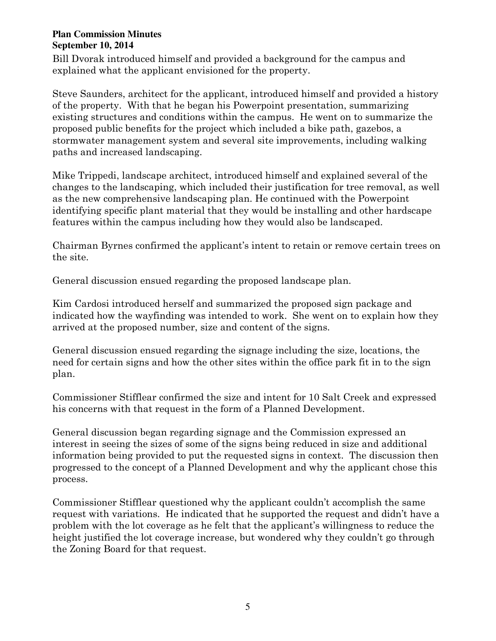Bill Dvorak introduced himself and provided a background for the campus and explained what the applicant envisioned for the property.

Steve Saunders, architect for the applicant, introduced himself and provided a history of the property. With that he began his Powerpoint presentation, summarizing existing structures and conditions within the campus. He went on to summarize the proposed public benefits for the project which included a bike path, gazebos, a stormwater management system and several site improvements, including walking paths and increased landscaping.

Mike Trippedi, landscape architect, introduced himself and explained several of the changes to the landscaping, which included their justification for tree removal, as well as the new comprehensive landscaping plan. He continued with the Powerpoint identifying specific plant material that they would be installing and other hardscape features within the campus including how they would also be landscaped.

Chairman Byrnes confirmed the applicant's intent to retain or remove certain trees on the site.

General discussion ensued regarding the proposed landscape plan.

Kim Cardosi introduced herself and summarized the proposed sign package and indicated how the wayfinding was intended to work. She went on to explain how they arrived at the proposed number, size and content of the signs.

General discussion ensued regarding the signage including the size, locations, the need for certain signs and how the other sites within the office park fit in to the sign plan.

Commissioner Stifflear confirmed the size and intent for 10 Salt Creek and expressed his concerns with that request in the form of a Planned Development.

General discussion began regarding signage and the Commission expressed an interest in seeing the sizes of some of the signs being reduced in size and additional information being provided to put the requested signs in context. The discussion then progressed to the concept of a Planned Development and why the applicant chose this process.

Commissioner Stifflear questioned why the applicant couldn't accomplish the same request with variations. He indicated that he supported the request and didn't have a problem with the lot coverage as he felt that the applicant's willingness to reduce the height justified the lot coverage increase, but wondered why they couldn't go through the Zoning Board for that request.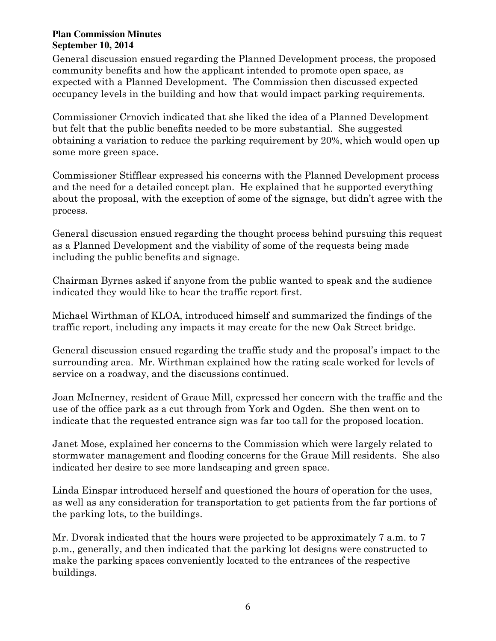General discussion ensued regarding the Planned Development process, the proposed community benefits and how the applicant intended to promote open space, as expected with a Planned Development. The Commission then discussed expected occupancy levels in the building and how that would impact parking requirements.

Commissioner Crnovich indicated that she liked the idea of a Planned Development but felt that the public benefits needed to be more substantial. She suggested obtaining a variation to reduce the parking requirement by 20%, which would open up some more green space.

Commissioner Stifflear expressed his concerns with the Planned Development process and the need for a detailed concept plan. He explained that he supported everything about the proposal, with the exception of some of the signage, but didn't agree with the process.

General discussion ensued regarding the thought process behind pursuing this request as a Planned Development and the viability of some of the requests being made including the public benefits and signage.

Chairman Byrnes asked if anyone from the public wanted to speak and the audience indicated they would like to hear the traffic report first.

Michael Wirthman of KLOA, introduced himself and summarized the findings of the traffic report, including any impacts it may create for the new Oak Street bridge.

General discussion ensued regarding the traffic study and the proposal's impact to the surrounding area. Mr. Wirthman explained how the rating scale worked for levels of service on a roadway, and the discussions continued.

Joan McInerney, resident of Graue Mill, expressed her concern with the traffic and the use of the office park as a cut through from York and Ogden. She then went on to indicate that the requested entrance sign was far too tall for the proposed location.

Janet Mose, explained her concerns to the Commission which were largely related to stormwater management and flooding concerns for the Graue Mill residents. She also indicated her desire to see more landscaping and green space.

Linda Einspar introduced herself and questioned the hours of operation for the uses, as well as any consideration for transportation to get patients from the far portions of the parking lots, to the buildings.

Mr. Dvorak indicated that the hours were projected to be approximately 7 a.m. to 7 p.m., generally, and then indicated that the parking lot designs were constructed to make the parking spaces conveniently located to the entrances of the respective buildings.